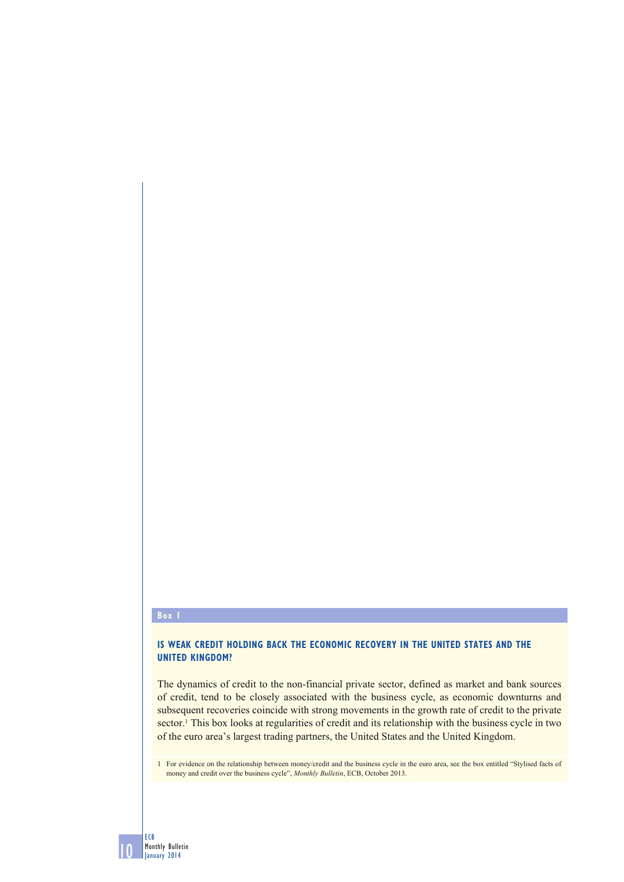#### **Box 1**

10

ECB Monthly Bulletin January 2014

## **IS WEAK CREDIT HOLDING BACK THE ECONOMIC RECOVERY IN THE UNITED STATES AND THE UNITED KINGDOM?**

The dynamics of credit to the non-financial private sector, defined as market and bank sources of credit, tend to be closely associated with the business cycle, as economic downturns and subsequent recoveries coincide with strong movements in the growth rate of credit to the private sector.<sup>1</sup> This box looks at regularities of credit and its relationship with the business cycle in two of the euro area's largest trading partners, the United States and the United Kingdom.

1 For evidence on the relationship between money/credit and the business cycle in the euro area, see the box entitled "Stylised facts of money and credit over the business cycle", *Monthly Bulletin*, ECB, October 2013.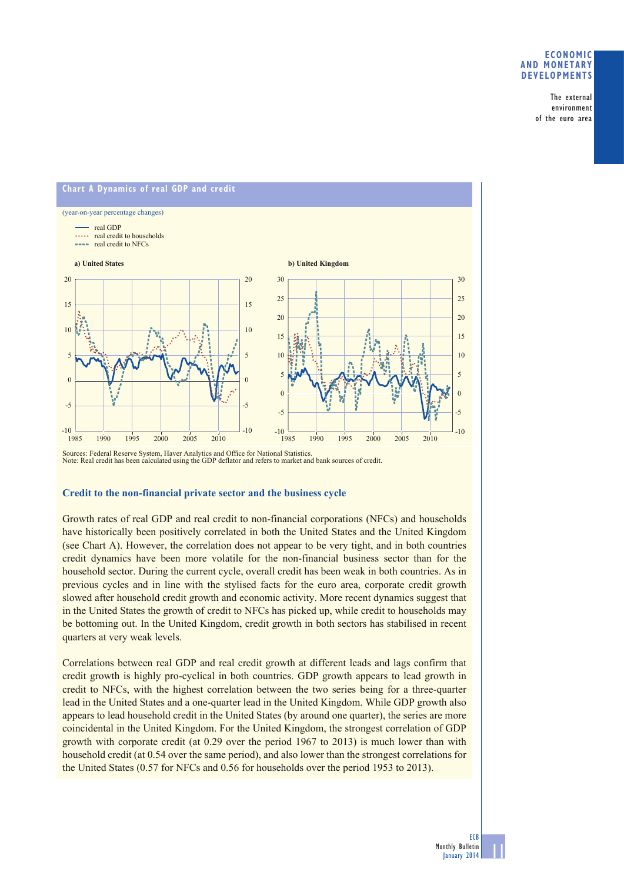### **ECONOMIC AND MONETARY DEVELOPMENTS**

The external environment of the euro area



Sources: Federal Reserve System, Haver Analytics and Office for National Statistics. Note: Real credit has been calculated using the GDP deflator and refers to market and bank sources of credit.

#### **Credit to the non-financial private sector and the business cycle**

Growth rates of real GDP and real credit to non-financial corporations (NFCs) and households have historically been positively correlated in both the United States and the United Kingdom (see Chart A). However, the correlation does not appear to be very tight, and in both countries credit dynamics have been more volatile for the non-financial business sector than for the household sector. During the current cycle, overall credit has been weak in both countries. As in previous cycles and in line with the stylised facts for the euro area, corporate credit growth slowed after household credit growth and economic activity. More recent dynamics suggest that in the United States the growth of credit to NFCs has picked up, while credit to households may be bottoming out. In the United Kingdom, credit growth in both sectors has stabilised in recent quarters at very weak levels.

Correlations between real GDP and real credit growth at different leads and lags confirm that credit growth is highly pro-cyclical in both countries. GDP growth appears to lead growth in credit to NFCs, with the highest correlation between the two series being for a three-quarter lead in the United States and a one-quarter lead in the United Kingdom. While GDP growth also appears to lead household credit in the United States (by around one quarter), the series are more coincidental in the United Kingdom. For the United Kingdom, the strongest correlation of GDP growth with corporate credit (at 0.29 over the period 1967 to 2013) is much lower than with household credit (at 0.54 over the same period), and also lower than the strongest correlations for the United States (0.57 for NFCs and 0.56 for households over the period 1953 to 2013).

11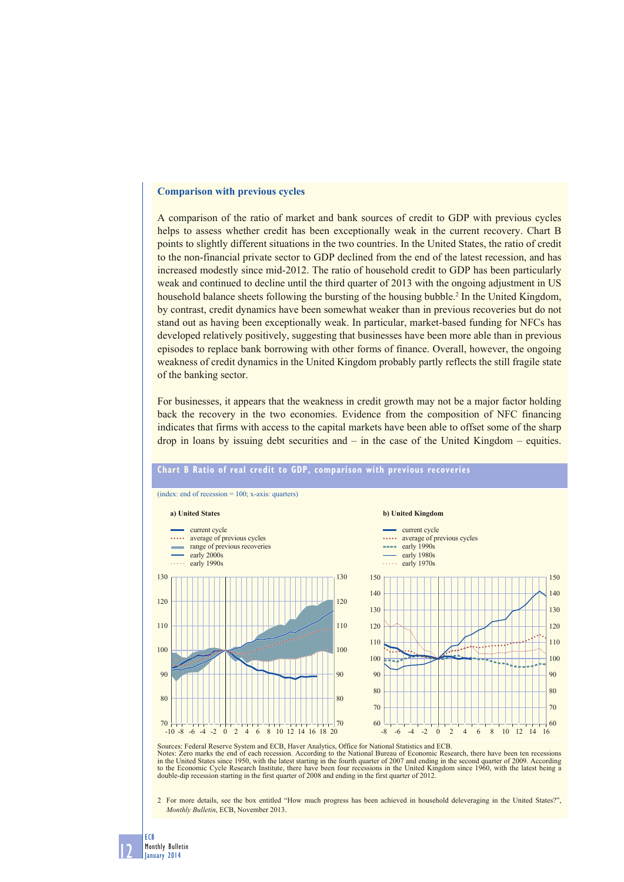#### **Comparison with previous cycles**

A comparison of the ratio of market and bank sources of credit to GDP with previous cycles helps to assess whether credit has been exceptionally weak in the current recovery. Chart B points to slightly different situations in the two countries. In the United States, the ratio of credit to the non-financial private sector to GDP declined from the end of the latest recession, and has increased modestly since mid-2012. The ratio of household credit to GDP has been particularly weak and continued to decline until the third quarter of 2013 with the ongoing adjustment in US household balance sheets following the bursting of the housing bubble.<sup>2</sup> In the United Kingdom, by contrast, credit dynamics have been somewhat weaker than in previous recoveries but do not stand out as having been exceptionally weak. In particular, market-based funding for NFCs has developed relatively positively, suggesting that businesses have been more able than in previous episodes to replace bank borrowing with other forms of finance. Overall, however, the ongoing weakness of credit dynamics in the United Kingdom probably partly reflects the still fragile state of the banking sector.

For businesses, it appears that the weakness in credit growth may not be a major factor holding back the recovery in the two economies. Evidence from the composition of NFC financing indicates that firms with access to the capital markets have been able to offset some of the sharp drop in loans by issuing debt securities and – in the case of the United Kingdom – equities.



# **Chart B Ratio of real credit to GDP, comparison with previous recoveries**

Sources: Federal Reserve System and ECB, Haver Analytics, Office for National Statistics and ECB. Notes: Zero marks the end of each recession. According to the National Bureau of Economic Research, there have been ten recessions<br>in the United States since 1950, with the latest starting in the fourth quarter of 2007 and double-dip recession starting in the first quarter of 2008 and ending in the first quarter of 2012.

2 For more details, see the box entitled "How much progress has been achieved in household deleveraging in the United States?" *Monthly Bulletin*, ECB, November 2013.

12